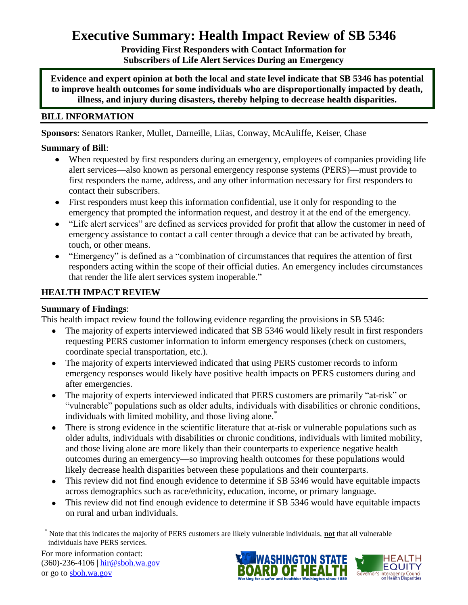# **Executive Summary: Health Impact Review of SB 5346**

**Providing First Responders with Contact Information for Subscribers of Life Alert Services During an Emergency**

**Evidence and expert opinion at both the local and state level indicate that SB 5346 has potential to improve health outcomes for some individuals who are disproportionally impacted by death, illness, and injury during disasters, thereby helping to decrease health disparities.**

# **BILL INFORMATION**

**Sponsors**: Senators [Ranker,](http://www.leg.wa.gov/senate/senators/pages/default.aspx#Ranker) [Mullet,](http://www.leg.wa.gov/senate/senators/pages/default.aspx#Mullet) [Darneille,](http://www.leg.wa.gov/senate/senators/pages/default.aspx#Darneille) [Liias,](http://www.leg.wa.gov/senate/senators/pages/default.aspx#Liias) [Conway,](http://www.leg.wa.gov/senate/senators/pages/default.aspx#Conway) [McAuliffe,](http://www.leg.wa.gov/senate/senators/pages/default.aspx#McAuliffe) [Keiser,](http://www.leg.wa.gov/senate/senators/pages/default.aspx#Keiser) [Chase](http://www.leg.wa.gov/senate/senators/pages/default.aspx#Chase)

# **Summary of Bill**:

- When requested by first responders during an emergency, employees of companies providing life alert services—also known as personal emergency response systems (PERS)—must provide to first responders the name, address, and any other information necessary for first responders to contact their subscribers.
- First responders must keep this information confidential, use it only for responding to the emergency that prompted the information request, and destroy it at the end of the emergency.
- "Life alert services" are defined as services provided for profit that allow the customer in need of emergency assistance to contact a call center through a device that can be activated by breath, touch, or other means.
- "Emergency" is defined as a "combination of circumstances that requires the attention of first responders acting within the scope of their official duties. An emergency includes circumstances that render the life alert services system inoperable."

# **HEALTH IMPACT REVIEW**

# **Summary of Findings**:

This health impact review found the following evidence regarding the provisions in SB 5346:

- The majority of experts interviewed indicated that SB 5346 would likely result in first responders requesting PERS customer information to inform emergency responses (check on customers, coordinate special transportation, etc.).
- The majority of experts interviewed indicated that using PERS customer records to inform  $\bullet$ emergency responses would likely have positive health impacts on PERS customers during and after emergencies.
- The majority of experts interviewed indicated that PERS customers are primarily "at-risk" or  $\bullet$ "vulnerable" populations such as older adults, individuals with disabilities or chronic conditions, individuals with limited mobility, and those living alone.<sup>\*</sup>
- $\bullet$ There is strong evidence in the scientific literature that at-risk or vulnerable populations such as older adults, individuals with disabilities or chronic conditions, individuals with limited mobility, and those living alone are more likely than their counterparts to experience negative health outcomes during an emergency—so improving health outcomes for these populations would likely decrease health disparities between these populations and their counterparts.
- This review did not find enough evidence to determine if SB 5346 would have equitable impacts across demographics such as race/ethnicity, education, income, or primary language.
- This review did not find enough evidence to determine if SB 5346 would have equitable impacts  $\bullet$ on rural and urban individuals.

 $\overline{\phantom{a}}$ 





<sup>\*</sup> Note that this indicates the majority of PERS customers are likely vulnerable individuals, **not** that all vulnerable individuals have PERS services.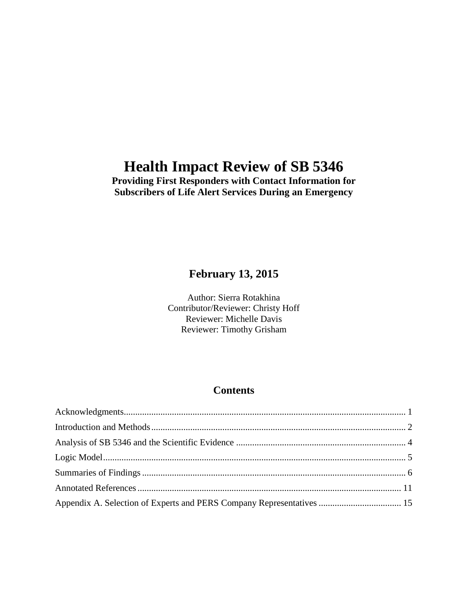# **Health Impact Review of SB 5346**

# **Providing First Responders with Contact Information for Subscribers of Life Alert Services During an Emergency**

# **February 13, 2015**

Author: Sierra Rotakhina Contributor/Reviewer: Christy Hoff Reviewer: Michelle Davis Reviewer: Timothy Grisham

# **Contents**

| Appendix A. Selection of Experts and PERS Company Representatives  15 |  |
|-----------------------------------------------------------------------|--|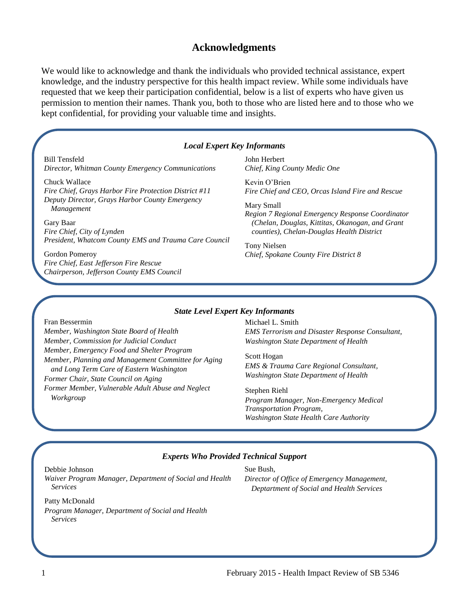# **Acknowledgments**

<span id="page-2-0"></span>We would like to acknowledge and thank the individuals who provided technical assistance, expert knowledge, and the industry perspective for this health impact review. While some individuals have requested that we keep their participation confidential, below is a list of experts who have given us permission to mention their names. Thank you, both to those who are listed here and to those who we kept confidential, for providing your valuable time and insights.

#### *Local Expert Key Informants*

Bill Tensfeld *Director, Whitman County Emergency Communications* 

Chuck Wallace *Fire Chief, Grays Harbor Fire Protection District #11 Deputy Director, Grays Harbor County Emergency Management*

Gary Baar *Fire Chief, City of Lynden President, Whatcom County EMS and Trauma Care Council*

Gordon Pomeroy *Fire Chief, East Jefferson Fire Rescue Chairperson, Jefferson County EMS Council*  John Herbert *Chief, King County Medic One*

Kevin O'Brien *Fire Chief and CEO, Orcas Island Fire and Rescue*

Mary Small *Region 7 Regional Emergency Response Coordinator (Chelan, Douglas, Kittitas, Okanogan, and Grant counties), Chelan-Douglas Health District*

Tony Nielsen *Chief, Spokane County Fire District 8*

#### *State Level Expert Key Informants*

#### Fran Bessermin

*Member, Washington State Board of Health Member, Commission for Judicial Conduct Member, Emergency Food and Shelter Program Member, Planning and Management Committee for Aging and Long Term Care of Eastern Washington Former Chair, State Council on Aging Former Member, Vulnerable Adult Abuse and Neglect Workgroup*

Michael L. Smith *EMS Terrorism and Disaster Response Consultant, Washington State Department of Health*

Scott Hogan *EMS & Trauma Care Regional Consultant, Washington State Department of Health*

Stephen Riehl *Program Manager, Non-Emergency Medical Transportation Program, Washington State Health Care Authority*

#### *Experts Who Provided Technical Support*

Debbie Johnson *Waiver Program Manager, Department of Social and Health Services*

Sue Bush, *Director of Office of Emergency Management, Deptartment of Social and Health Services*

Patty McDonald *Program Manager, Department of Social and Health Services*

1 February 2015 - Health Impact Review of SB 5346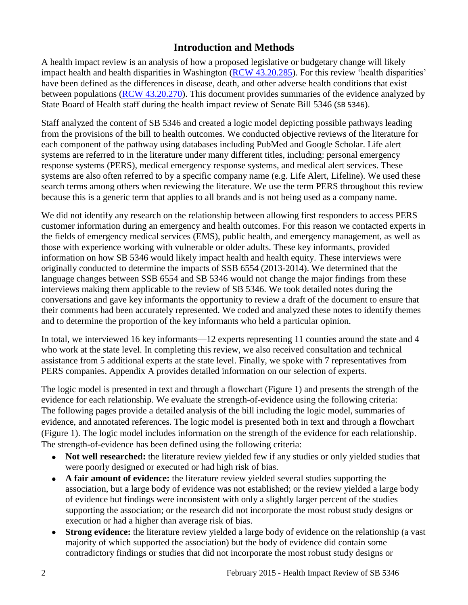# **Introduction and Methods**

<span id="page-3-0"></span>A health impact review is an analysis of how a proposed legislative or budgetary change will likely impact health and health disparities in Washington [\(RCW 43.20.285\)](http://apps.leg.wa.gov/rcw/default.aspx?cite=43.20.285). For this review 'health disparities' have been defined as the differences in disease, death, and other adverse health conditions that exist between populations [\(RCW 43.20.270\)](http://apps.leg.wa.gov/rcw/default.aspx?cite=43.20.270). This document provides summaries of the evidence analyzed by State Board of Health staff during the health impact review of Senate Bill 5346 (SB 5346).

Staff analyzed the content of SB 5346 and created a logic model depicting possible pathways leading from the provisions of the bill to health outcomes. We conducted objective reviews of the literature for each component of the pathway using databases including PubMed and Google Scholar. Life alert systems are referred to in the literature under many different titles, including: personal emergency response systems (PERS), medical emergency response systems, and medical alert services. These systems are also often referred to by a specific company name (e.g. Life Alert, Lifeline). We used these search terms among others when reviewing the literature. We use the term PERS throughout this review because this is a generic term that applies to all brands and is not being used as a company name.

We did not identify any research on the relationship between allowing first responders to access PERS customer information during an emergency and health outcomes. For this reason we contacted experts in the fields of emergency medical services (EMS), public health, and emergency management, as well as those with experience working with vulnerable or older adults. These key informants, provided information on how SB 5346 would likely impact health and health equity. These interviews were originally conducted to determine the impacts of SSB 6554 (2013-2014). We determined that the language changes between SSB 6554 and SB 5346 would not change the major findings from these interviews making them applicable to the review of SB 5346. We took detailed notes during the conversations and gave key informants the opportunity to review a draft of the document to ensure that their comments had been accurately represented. We coded and analyzed these notes to identify themes and to determine the proportion of the key informants who held a particular opinion.

In total, we interviewed 16 key informants—12 experts representing 11 counties around the state and 4 who work at the state level. In completing this review, we also received consultation and technical assistance from 5 additional experts at the state level. Finally, we spoke with 7 representatives from PERS companies. Appendix A provides detailed information on our selection of experts.

The logic model is presented in text and through a flowchart (Figure 1) and presents the strength of the evidence for each relationship. We evaluate the strength-of-evidence using the following criteria: The following pages provide a detailed analysis of the bill including the logic model, summaries of evidence, and annotated references. The logic model is presented both in text and through a flowchart (Figure 1). The logic model includes information on the strength of the evidence for each relationship. The strength-of-evidence has been defined using the following criteria:

- Not well researched: the literature review yielded few if any studies or only yielded studies that were poorly designed or executed or had high risk of bias.
- **A fair amount of evidence:** the literature review yielded several studies supporting the association, but a large body of evidence was not established; or the review yielded a large body of evidence but findings were inconsistent with only a slightly larger percent of the studies supporting the association; or the research did not incorporate the most robust study designs or execution or had a higher than average risk of bias.
- **Strong evidence:** the literature review yielded a large body of evidence on the relationship (a vast majority of which supported the association) but the body of evidence did contain some contradictory findings or studies that did not incorporate the most robust study designs or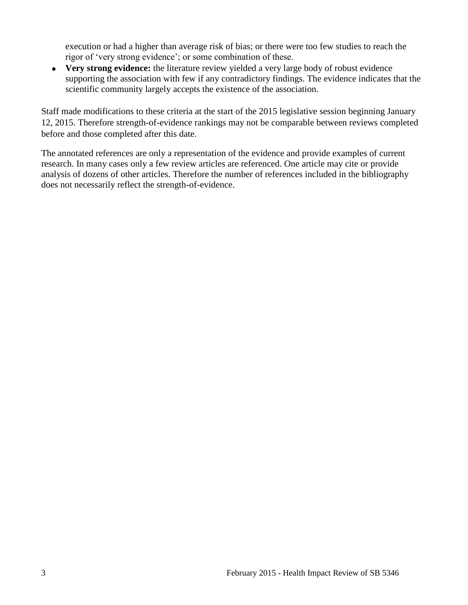execution or had a higher than average risk of bias; or there were too few studies to reach the rigor of 'very strong evidence'; or some combination of these.

**Very strong evidence:** the literature review yielded a very large body of robust evidence supporting the association with few if any contradictory findings. The evidence indicates that the scientific community largely accepts the existence of the association.

Staff made modifications to these criteria at the start of the 2015 legislative session beginning January 12, 2015. Therefore strength-of-evidence rankings may not be comparable between reviews completed before and those completed after this date.

The annotated references are only a representation of the evidence and provide examples of current research. In many cases only a few review articles are referenced. One article may cite or provide analysis of dozens of other articles. Therefore the number of references included in the bibliography does not necessarily reflect the strength-of-evidence.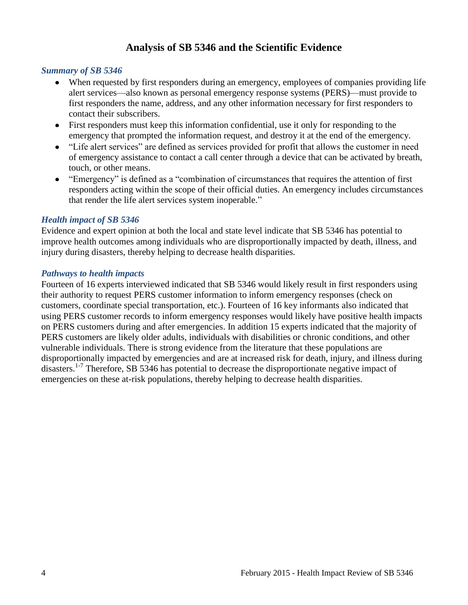# **Analysis of SB 5346 and the Scientific Evidence**

### <span id="page-5-0"></span>*Summary of SB 5346*

- When requested by first responders during an emergency, employees of companies providing life alert services—also known as personal emergency response systems (PERS)—must provide to first responders the name, address, and any other information necessary for first responders to contact their subscribers.
- First responders must keep this information confidential, use it only for responding to the emergency that prompted the information request, and destroy it at the end of the emergency.
- "Life alert services" are defined as services provided for profit that allows the customer in need of emergency assistance to contact a call center through a device that can be activated by breath, touch, or other means.
- "Emergency" is defined as a "combination of circumstances that requires the attention of first responders acting within the scope of their official duties. An emergency includes circumstances that render the life alert services system inoperable."

# *Health impact of SB 5346*

Evidence and expert opinion at both the local and state level indicate that SB 5346 has potential to improve health outcomes among individuals who are disproportionally impacted by death, illness, and injury during disasters, thereby helping to decrease health disparities.

# *Pathways to health impacts*

Fourteen of 16 experts interviewed indicated that SB 5346 would likely result in first responders using their authority to request PERS customer information to inform emergency responses (check on customers, coordinate special transportation, etc.). Fourteen of 16 key informants also indicated that using PERS customer records to inform emergency responses would likely have positive health impacts on PERS customers during and after emergencies. In addition 15 experts indicated that the majority of PERS customers are likely older adults, individuals with disabilities or chronic conditions, and other vulnerable individuals. There is strong evidence from the literature that these populations are disproportionally impacted by emergencies and are at increased risk for death, injury, and illness during disasters.<sup>[1-7](#page-12-1)</sup> Therefore, SB 5346 has potential to decrease the disproportionate negative impact of emergencies on these at-risk populations, thereby helping to decrease health disparities.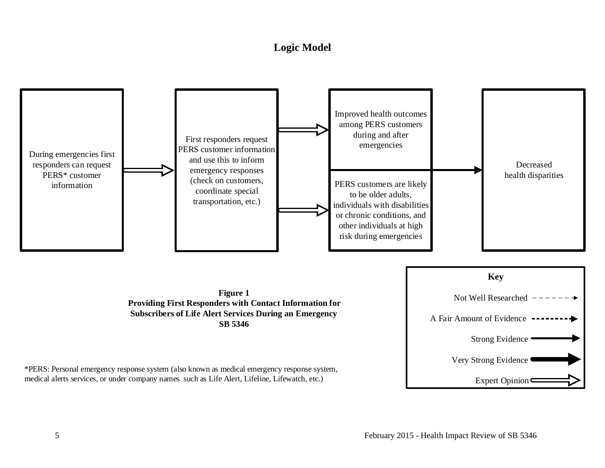# **Logic Model**

<span id="page-6-0"></span>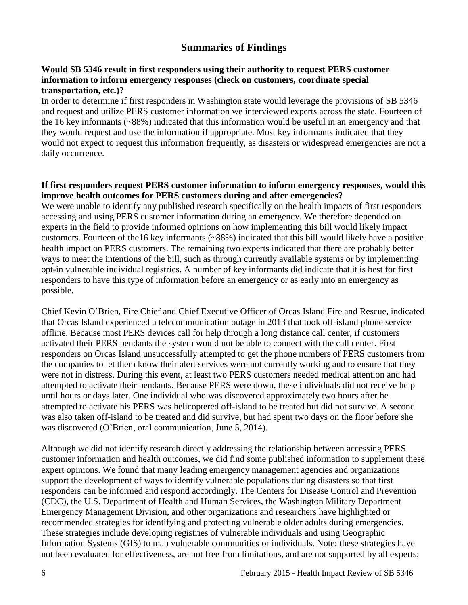# **Summaries of Findings**

# <span id="page-7-0"></span>**Would SB 5346 result in first responders using their authority to request PERS customer information to inform emergency responses (check on customers, coordinate special transportation, etc.)?**

In order to determine if first responders in Washington state would leverage the provisions of SB 5346 and request and utilize PERS customer information we interviewed experts across the state. Fourteen of the 16 key informants (~88%) indicated that this information would be useful in an emergency and that they would request and use the information if appropriate. Most key informants indicated that they would not expect to request this information frequently, as disasters or widespread emergencies are not a daily occurrence.

# **If first responders request PERS customer information to inform emergency responses, would this improve health outcomes for PERS customers during and after emergencies?**

We were unable to identify any published research specifically on the health impacts of first responders accessing and using PERS customer information during an emergency. We therefore depended on experts in the field to provide informed opinions on how implementing this bill would likely impact customers. Fourteen of the16 key informants (~88%) indicated that this bill would likely have a positive health impact on PERS customers. The remaining two experts indicated that there are probably better ways to meet the intentions of the bill, such as through currently available systems or by implementing opt-in vulnerable individual registries. A number of key informants did indicate that it is best for first responders to have this type of information before an emergency or as early into an emergency as possible.

Chief Kevin O'Brien, Fire Chief and Chief Executive Officer of Orcas Island Fire and Rescue, indicated that Orcas Island experienced a telecommunication outage in 2013 that took off-island phone service offline. Because most PERS devices call for help through a long distance call center, if customers activated their PERS pendants the system would not be able to connect with the call center. First responders on Orcas Island unsuccessfully attempted to get the phone numbers of PERS customers from the companies to let them know their alert services were not currently working and to ensure that they were not in distress. During this event, at least two PERS customers needed medical attention and had attempted to activate their pendants. Because PERS were down, these individuals did not receive help until hours or days later. One individual who was discovered approximately two hours after he attempted to activate his PERS was helicoptered off-island to be treated but did not survive. A second was also taken off-island to be treated and did survive, but had spent two days on the floor before she was discovered (O'Brien, oral communication, June 5, 2014).

Although we did not identify research directly addressing the relationship between accessing PERS customer information and health outcomes, we did find some published information to supplement these expert opinions. We found that many leading emergency management agencies and organizations support the development of ways to identify vulnerable populations during disasters so that first responders can be informed and respond accordingly. The Centers for Disease Control and Prevention (CDC), the U.S. Department of Health and Human Services, the Washington Military Department Emergency Management Division, and other organizations and researchers have highlighted or recommended strategies for identifying and protecting vulnerable older adults during emergencies. These strategies include developing registries of vulnerable individuals and using Geographic Information Systems (GIS) to map vulnerable communities or individuals. Note: these strategies have not been evaluated for effectiveness, are not free from limitations, and are not supported by all experts;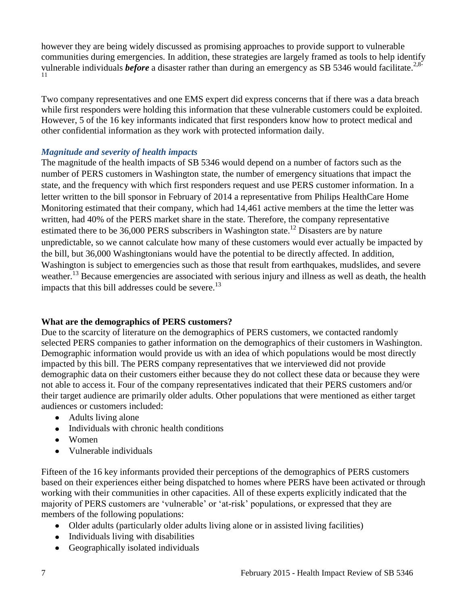however they are being widely discussed as promising approaches to provide support to vulnerable communities during emergencies. In addition, these strategies are largely framed as tools to help identify vulnerable individuals *before* a disaster rather than during an emergency as SB 5346 would facilitate.<sup>[2](#page-12-2)[,8-](#page-14-0)</sup> [11](#page-14-0)

Two company representatives and one EMS expert did express concerns that if there was a data breach while first responders were holding this information that these vulnerable customers could be exploited. However, 5 of the 16 key informants indicated that first responders know how to protect medical and other confidential information as they work with protected information daily.

# *Magnitude and severity of health impacts*

The magnitude of the health impacts of SB 5346 would depend on a number of factors such as the number of PERS customers in Washington state, the number of emergency situations that impact the state, and the frequency with which first responders request and use PERS customer information. In a letter written to the bill sponsor in February of 2014 a representative from Philips HealthCare Home Monitoring estimated that their company, which had 14,461 active members at the time the letter was written, had 40% of the PERS market share in the state. Therefore, the company representative estimated there to be  $36,000$  PERS subscribers in Washington state.<sup>12</sup> Disasters are by nature unpredictable, so we cannot calculate how many of these customers would ever actually be impacted by the bill, but 36,000 Washingtonians would have the potential to be directly affected. In addition, Washington is subject to emergencies such as those that result from earthquakes, mudslides, and severe weather.<sup>13</sup> Because emergencies are associated with serious injury and illness as well as death, the health impacts that this bill addresses could be severe.<sup>13</sup>

# **What are the demographics of PERS customers?**

Due to the scarcity of literature on the demographics of PERS customers, we contacted randomly selected PERS companies to gather information on the demographics of their customers in Washington. Demographic information would provide us with an idea of which populations would be most directly impacted by this bill. The PERS company representatives that we interviewed did not provide demographic data on their customers either because they do not collect these data or because they were not able to access it. Four of the company representatives indicated that their PERS customers and/or their target audience are primarily older adults. Other populations that were mentioned as either target audiences or customers included:

- Adults living alone
- Individuals with chronic health conditions
- Women
- Vulnerable individuals

Fifteen of the 16 key informants provided their perceptions of the demographics of PERS customers based on their experiences either being dispatched to homes where PERS have been activated or through working with their communities in other capacities. All of these experts explicitly indicated that the majority of PERS customers are 'vulnerable' or 'at-risk' populations, or expressed that they are members of the following populations:

- Older adults (particularly older adults living alone or in assisted living facilities)
- Individuals living with disabilities
- Geographically isolated individuals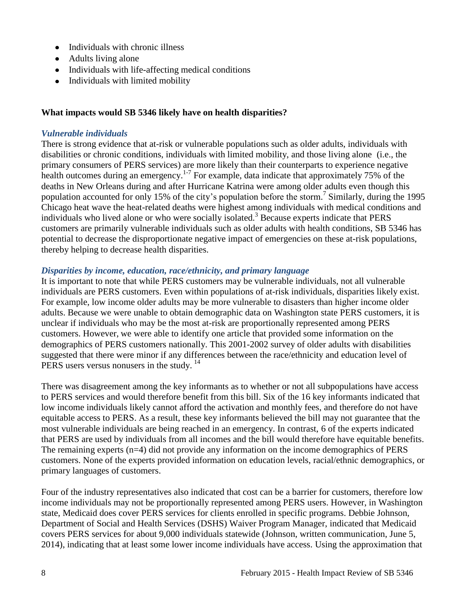- Individuals with chronic illness
- Adults living alone
- Individuals with life-affecting medical conditions
- Individuals with limited mobility

### **What impacts would SB 5346 likely have on health disparities?**

### *Vulnerable individuals*

There is strong evidence that at-risk or vulnerable populations such as older adults, individuals with disabilities or chronic conditions, individuals with limited mobility, and those living alone (i.e., the primary consumers of PERS services) are more likely than their counterparts to experience negative health outcomes during an emergency.<sup>[1-7](#page-12-1)</sup> For example, data indicate that approximately 75% of the deaths in New Orleans during and after Hurricane Katrina were among older adults even though this population accounted for only 15% of the city's population before the storm[.](#page-13-0)<sup>7</sup> Similarly, during the 1995 Chicago heat wave the heat-related deaths were highest among individuals with medical conditions and individuals who lived alone or who were socially isolated[.](#page-12-3) <sup>3</sup> Because experts indicate that PERS customers are primarily vulnerable individuals such as older adults with health conditions, SB 5346 has potential to decrease the disproportionate negative impact of emergencies on these at-risk populations, thereby helping to decrease health disparities.

### *Disparities by income, education, race/ethnicity, and primary language*

It is important to note that while PERS customers may be vulnerable individuals, not all vulnerable individuals are PERS customers. Even within populations of at-risk individuals, disparities likely exist. For example, low income older adults may be more vulnerable to disasters than higher income older adults. Because we were unable to obtain demographic data on Washington state PERS customers, it is unclear if individuals who may be the most at-risk are proportionally represented among PERS customers. However, we were able to identify one article that provided some information on the demographics of PERS customers nationally. This 2001-2002 survey of older adults with disabilities suggested that there were minor if any differences between the race/ethnicity and education level of PERS users versus nonusers in the study.<sup>14</sup>

There was disagreement among the key informants as to whether or not all subpopulations have access to PERS services and would therefore benefit from this bill. Six of the 16 key informants indicated that low income individuals likely cannot afford the activation and monthly fees, and therefore do not have equitable access to PERS. As a result, these key informants believed the bill may not guarantee that the most vulnerable individuals are being reached in an emergency. In contrast, 6 of the experts indicated that PERS are used by individuals from all incomes and the bill would therefore have equitable benefits. The remaining experts (n=4) did not provide any information on the income demographics of PERS customers. None of the experts provided information on education levels, racial/ethnic demographics, or primary languages of customers.

Four of the industry representatives also indicated that cost can be a barrier for customers, therefore low income individuals may not be proportionally represented among PERS users. However, in Washington state, Medicaid does cover PERS services for clients enrolled in specific programs. Debbie Johnson, Department of Social and Health Services (DSHS) Waiver Program Manager, indicated that Medicaid covers PERS services for about 9,000 individuals statewide (Johnson, written communication, June 5, 2014), indicating that at least some lower income individuals have access. Using the approximation that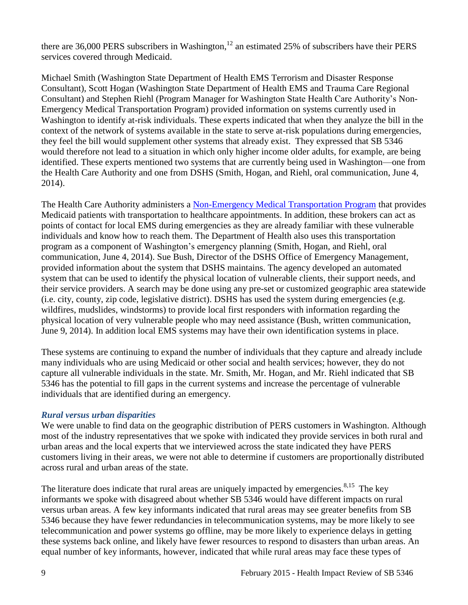there are 36,000 PERS subscribers in Washington,<sup>12</sup> an estimated 25% of subscribers have their PERS services covered through Medicaid.

Michael Smith (Washington State Department of Health EMS Terrorism and Disaster Response Consultant), Scott Hogan (Washington State Department of Health EMS and Trauma Care Regional Consultant) and Stephen Riehl (Program Manager for Washington State Health Care Authority's Non-Emergency Medical Transportation Program) provided information on systems currently used in Washington to identify at-risk individuals. These experts indicated that when they analyze the bill in the context of the network of systems available in the state to serve at-risk populations during emergencies, they feel the bill would supplement other systems that already exist. They expressed that SB 5346 would therefore not lead to a situation in which only higher income older adults, for example, are being identified. These experts mentioned two systems that are currently being used in Washington—one from the Health Care Authority and one from DSHS (Smith, Hogan, and Riehl, oral communication, June 4, 2014).

The Health Care Authority administers a [Non-Emergency Medical Transportation Program](http://www.hca.wa.gov/medicaid/transportation/Pages/index.aspx) that provides Medicaid patients with transportation to healthcare appointments. In addition, these brokers can act as points of contact for local EMS during emergencies as they are already familiar with these vulnerable individuals and know how to reach them. The Department of Health also uses this transportation program as a component of Washington's emergency planning (Smith, Hogan, and Riehl, oral communication, June 4, 2014). Sue Bush, Director of the DSHS Office of Emergency Management, provided information about the system that DSHS maintains. The agency developed an automated system that can be used to identify the physical location of vulnerable clients, their support needs, and their service providers. A search may be done using any pre-set or customized geographic area statewide (i.e. city, county, zip code, legislative district). DSHS has used the system during emergencies (e.g. wildfires, mudslides, windstorms) to provide local first responders with information regarding the physical location of very vulnerable people who may need assistance (Bush, written communication, June 9, 2014). In addition local EMS systems may have their own identification systems in place.

These systems are continuing to expand the number of individuals that they capture and already include many individuals who are using Medicaid or other social and health services; however, they do not capture all vulnerable individuals in the state. Mr. Smith, Mr. Hogan, and Mr. Riehl indicated that SB 5346 has the potential to fill gaps in the current systems and increase the percentage of vulnerable individuals that are identified during an emergency.

# *Rural versus urban disparities*

We were unable to find data on the geographic distribution of PERS customers in Washington. Although most of the industry representatives that we spoke with indicated they provide services in both rural and urban areas and the local experts that we interviewed across the state indicated they have PERS customers living in their areas, we were not able to determine if customers are proportionally distributed across rural and urban areas of the state.

The literature does indicate that rural areas are uniquely impacted by emergencies.<sup>[8,1](#page-14-0)5</sup> The key informants we spoke with disagreed about whether SB 5346 would have different impacts on rural versus urban areas. A few key informants indicated that rural areas may see greater benefits from SB 5346 because they have fewer redundancies in telecommunication systems, may be more likely to see telecommunication and power systems go offline, may be more likely to experience delays in getting these systems back online, and likely have fewer resources to respond to disasters than urban areas. An equal number of key informants, however, indicated that while rural areas may face these types of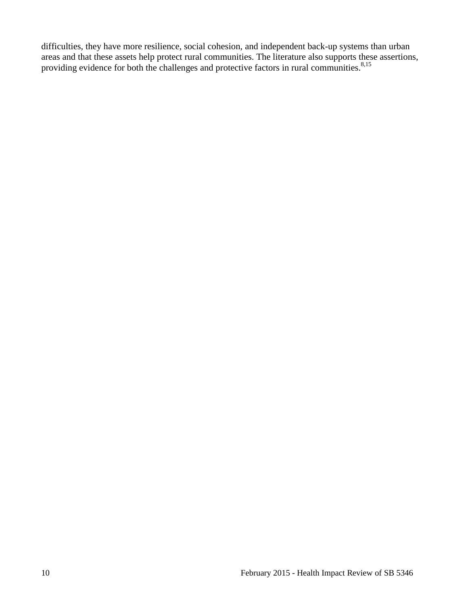difficulties, they have more resilience, social cohesion, and independent back-up systems than urban areas and that these assets help protect rural communities. The literature also supports these assertions, providing evidence for both the challenges and protective factors in rural communities.<sup>[8,](#page-14-0)15</sup>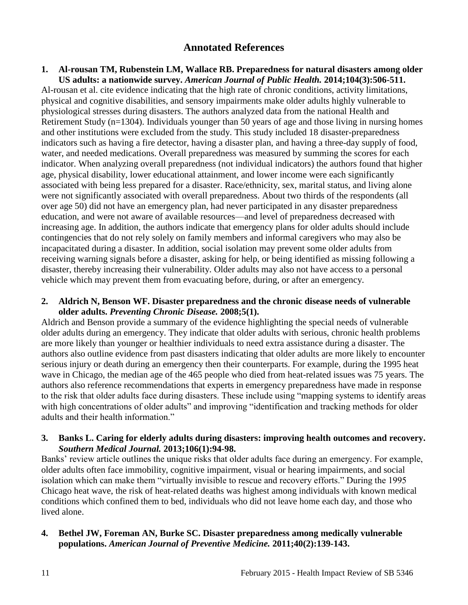# **Annotated References**

### <span id="page-12-1"></span><span id="page-12-0"></span>**1. Al-rousan TM, Rubenstein LM, Wallace RB. Preparedness for natural disasters among older US adults: a nationwide survey.** *American Journal of Public Health.* **2014;104(3):506-511.**

Al-rousan et al. cite evidence indicating that the high rate of chronic conditions, activity limitations, physical and cognitive disabilities, and sensory impairments make older adults highly vulnerable to physiological stresses during disasters. The authors analyzed data from the national Health and Retirement Study (n=1304). Individuals younger than 50 years of age and those living in nursing homes and other institutions were excluded from the study. This study included 18 disaster-preparedness indicators such as having a fire detector, having a disaster plan, and having a three-day supply of food, water, and needed medications. Overall preparedness was measured by summing the scores for each indicator. When analyzing overall preparedness (not individual indicators) the authors found that higher age, physical disability, lower educational attainment, and lower income were each significantly associated with being less prepared for a disaster. Race/ethnicity, sex, marital status, and living alone were not significantly associated with overall preparedness. About two thirds of the respondents (all over age 50) did not have an emergency plan, had never participated in any disaster preparedness education, and were not aware of available resources—and level of preparedness decreased with increasing age. In addition, the authors indicate that emergency plans for older adults should include contingencies that do not rely solely on family members and informal caregivers who may also be incapacitated during a disaster. In addition, social isolation may prevent some older adults from receiving warning signals before a disaster, asking for help, or being identified as missing following a disaster, thereby increasing their vulnerability. Older adults may also not have access to a personal vehicle which may prevent them from evacuating before, during, or after an emergency.

### <span id="page-12-2"></span>**2. Aldrich N, Benson WF. Disaster preparedness and the chronic disease needs of vulnerable older adults.** *Preventing Chronic Disease.* **2008;5(1).**

Aldrich and Benson provide a summary of the evidence highlighting the special needs of vulnerable older adults during an emergency. They indicate that older adults with serious, chronic health problems are more likely than younger or healthier individuals to need extra assistance during a disaster. The authors also outline evidence from past disasters indicating that older adults are more likely to encounter serious injury or death during an emergency then their counterparts. For example, during the 1995 heat wave in Chicago, the median age of the 465 people who died from heat-related issues was 75 years. The authors also reference recommendations that experts in emergency preparedness have made in response to the risk that older adults face during disasters. These include using "mapping systems to identify areas with high concentrations of older adults" and improving "identification and tracking methods for older adults and their health information."

### <span id="page-12-3"></span>**3. Banks L. Caring for elderly adults during disasters: improving health outcomes and recovery.**  *Southern Medical Journal.* **2013;106(1):94-98.**

Banks' review article outlines the unique risks that older adults face during an emergency. For example, older adults often face immobility, cognitive impairment, visual or hearing impairments, and social isolation which can make them "virtually invisible to rescue and recovery efforts." During the 1995 Chicago heat wave, the risk of heat-related deaths was highest among individuals with known medical conditions which confined them to bed, individuals who did not leave home each day, and those who lived alone.

# **4. Bethel JW, Foreman AN, Burke SC. Disaster preparedness among medically vulnerable populations.** *American Journal of Preventive Medicine.* **2011;40(2):139-143.**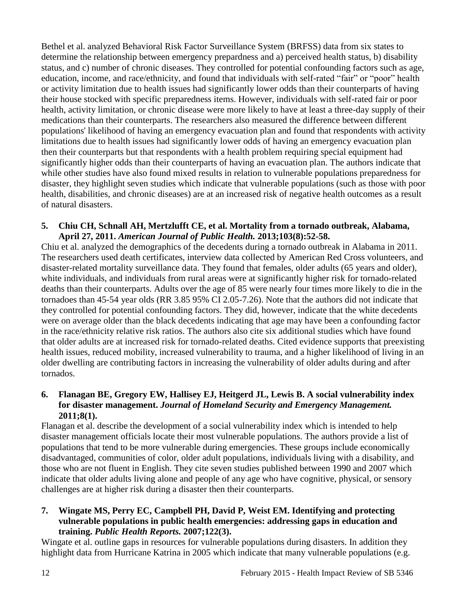Bethel et al. analyzed Behavioral Risk Factor Surveillance System (BRFSS) data from six states to determine the relationship between emergency prepardness and a) perceived health status, b) disability status, and c) number of chronic diseases. They controlled for potential confounding factors such as age, education, income, and race/ethnicity, and found that individuals with self-rated "fair" or "poor" health or activity limitation due to health issues had significantly lower odds than their counterparts of having their house stocked with specific preparedness items. However, individuals with self-rated fair or poor health, activity limitation, or chronic disease were more likely to have at least a three-day supply of their medications than their counterparts. The researchers also measured the difference between different populations' likelihood of having an emergency evacuation plan and found that respondents with activity limitations due to health issues had significantly lower odds of having an emergency evacuation plan then their counterparts but that respondents with a health problem requiring special equipment had significantly higher odds than their counterparts of having an evacuation plan. The authors indicate that while other studies have also found mixed results in relation to vulnerable populations preparedness for disaster, they highlight seven studies which indicate that vulnerable populations (such as those with poor health, disabilities, and chronic diseases) are at an increased risk of negative health outcomes as a result of natural disasters.

### **5. Chiu CH, Schnall AH, Mertzlufft CE, et al. Mortality from a tornado outbreak, Alabama, April 27, 2011.** *American Journal of Public Health.* **2013;103(8):52-58.**

Chiu et al. analyzed the demographics of the decedents during a tornado outbreak in Alabama in 2011. The researchers used death certificates, interview data collected by American Red Cross volunteers, and disaster-related mortality surveillance data. They found that females, older adults (65 years and older), white individuals, and individuals from rural areas were at significantly higher risk for tornado-related deaths than their counterparts. Adults over the age of 85 were nearly four times more likely to die in the tornadoes than 45-54 year olds (RR 3.85 95% CI 2.05-7.26). Note that the authors did not indicate that they controlled for potential confounding factors. They did, however, indicate that the white decedents were on average older than the black decedents indicating that age may have been a confounding factor in the race/ethnicity relative risk ratios. The authors also cite six additional studies which have found that older adults are at increased risk for tornado-related deaths. Cited evidence supports that preexisting health issues, reduced mobility, increased vulnerability to trauma, and a higher likelihood of living in an older dwelling are contributing factors in increasing the vulnerability of older adults during and after tornados.

# **6. Flanagan BE, Gregory EW, Hallisey EJ, Heitgerd JL, Lewis B. A social vulnerability index for disaster management.** *Journal of Homeland Security and Emergency Management.*  **2011;8(1).**

Flanagan et al. describe the development of a social vulnerability index which is intended to help disaster management officials locate their most vulnerable populations. The authors provide a list of populations that tend to be more vulnerable during emergencies. These groups include economically disadvantaged, communities of color, older adult populations, individuals living with a disability, and those who are not fluent in English. They cite seven studies published between 1990 and 2007 which indicate that older adults living alone and people of any age who have cognitive, physical, or sensory challenges are at higher risk during a disaster then their counterparts.

# <span id="page-13-0"></span>**7. Wingate MS, Perry EC, Campbell PH, David P, Weist EM. Identifying and protecting vulnerable populations in public health emergencies: addressing gaps in education and training.** *Public Health Reports.* **2007;122(3).**

Wingate et al. outline gaps in resources for vulnerable populations during disasters. In addition they highlight data from Hurricane Katrina in 2005 which indicate that many vulnerable populations (e.g.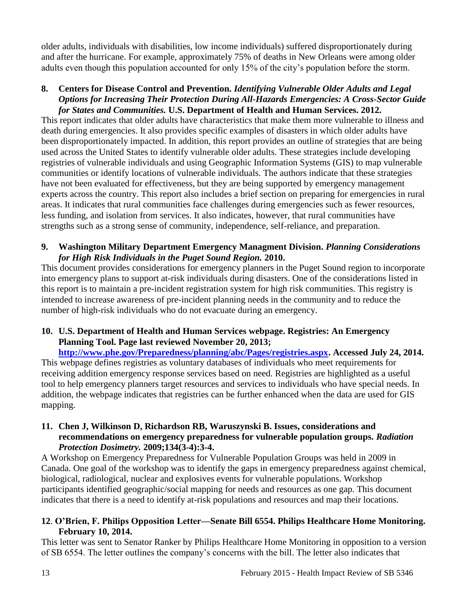older adults, individuals with disabilities, low income individuals) suffered disproportionately during and after the hurricane. For example, approximately 75% of deaths in New Orleans were among older adults even though this population accounted for only 15% of the city's population before the storm.

# <span id="page-14-0"></span>**8. Centers for Disease Control and Prevention.** *Identifying Vulnerable Older Adults and Legal Options for Increasing Their Protection During All-Hazards Emergencies: A Cross-Sector Guide for States and Communities.* **U.S. Department of Health and Human Services. 2012.**

This report indicates that older adults have characteristics that make them more vulnerable to illness and death during emergencies. It also provides specific examples of disasters in which older adults have been disproportionately impacted. In addition, this report provides an outline of strategies that are being used across the United States to identify vulnerable older adults. These strategies include developing registries of vulnerable individuals and using Geographic Information Systems (GIS) to map vulnerable communities or identify locations of vulnerable individuals. The authors indicate that these strategies have not been evaluated for effectiveness, but they are being supported by emergency management experts across the country. This report also includes a brief section on preparing for emergencies in rural areas. It indicates that rural communities face challenges during emergencies such as fewer resources, less funding, and isolation from services. It also indicates, however, that rural communities have strengths such as a strong sense of community, independence, self-reliance, and preparation.

# **9. Washington Military Department Emergency Managment Division.** *Planning Considerations for High Risk Individuals in the Puget Sound Region.* **2010.**

This document provides considerations for emergency planners in the Puget Sound region to incorporate into emergency plans to support at-risk individuals during disasters. One of the considerations listed in this report is to maintain a pre-incident registration system for high risk communities. This registry is intended to increase awareness of pre-incident planning needs in the community and to reduce the number of high-risk individuals who do not evacuate during an emergency.

# **10. U.S. Department of Health and Human Services webpage. Registries: An Emergency Planning Tool. Page last reviewed November 20, 2013;**

**[http://www.phe.gov/Preparedness/planning/abc/Pages/registries.aspx.](http://www.phe.gov/Preparedness/planning/abc/Pages/registries.aspx) Accessed July 24, 2014.** This webpage defines registries as voluntary databases of individuals who meet requirements for receiving addition emergency response services based on need. Registries are highlighted as a useful tool to help emergency planners target resources and services to individuals who have special needs. In addition, the webpage indicates that registries can be further enhanced when the data are used for GIS mapping.

# **11. Chen J, Wilkinson D, Richardson RB, Waruszynski B. Issues, considerations and recommendations on emergency preparedness for vulnerable population groups.** *Radiation Protection Dosimetry.* **2009;134(3-4):3-4.**

A Workshop on Emergency Preparedness for Vulnerable Population Groups was held in 2009 in Canada. One goal of the workshop was to identify the gaps in emergency preparedness against chemical, biological, radiological, nuclear and explosives events for vulnerable populations. Workshop participants identified geographic/social mapping for needs and resources as one gap. This document indicates that there is a need to identify at-risk populations and resources and map their locations.

# **12**. **O'Brien, F. Philips Opposition Letter—Senate Bill 6554. Philips Healthcare Home Monitoring. February 10, 2014.**

This letter was sent to Senator Ranker by Philips Healthcare Home Monitoring in opposition to a version of SB 6554. The letter outlines the company's concerns with the bill. The letter also indicates that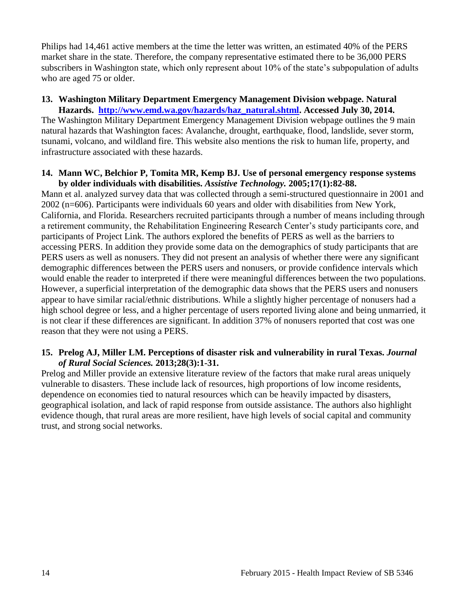Philips had 14,461 active members at the time the letter was written, an estimated 40% of the PERS market share in the state. Therefore, the company representative estimated there to be 36,000 PERS subscribers in Washington state, which only represent about 10% of the state's subpopulation of adults who are aged 75 or older.

# **13. Washington Military Department Emergency Management Division webpage. Natural**

**Hazards. [http://www.emd.wa.gov/hazards/haz\\_natural.shtml.](http://www.emd.wa.gov/hazards/haz_natural.shtml) Accessed July 30, 2014.** The Washington Military Department Emergency Management Division webpage outlines the 9 main natural hazards that Washington faces: Avalanche, drought, earthquake, flood, landslide, sever storm, tsunami, volcano, and wildland fire. This website also mentions the risk to human life, property, and infrastructure associated with these hazards.

#### **14. Mann WC, Belchior P, Tomita MR, Kemp BJ. Use of personal emergency response systems by older individuals with disabilities.** *Assistive Technology.* **2005;17(1):82-88.**

Mann et al. analyzed survey data that was collected through a semi-structured questionnaire in 2001 and 2002 (n=606). Participants were individuals 60 years and older with disabilities from New York, California, and Florida. Researchers recruited participants through a number of means including through a retirement community, the Rehabilitation Engineering Research Center's study participants core, and participants of Project Link. The authors explored the benefits of PERS as well as the barriers to accessing PERS. In addition they provide some data on the demographics of study participants that are PERS users as well as nonusers. They did not present an analysis of whether there were any significant demographic differences between the PERS users and nonusers, or provide confidence intervals which would enable the reader to interpreted if there were meaningful differences between the two populations. However, a superficial interpretation of the demographic data shows that the PERS users and nonusers appear to have similar racial/ethnic distributions. While a slightly higher percentage of nonusers had a high school degree or less, and a higher percentage of users reported living alone and being unmarried, it is not clear if these differences are significant. In addition 37% of nonusers reported that cost was one reason that they were not using a PERS.

### **15. Prelog AJ, Miller LM. Perceptions of disaster risk and vulnerability in rural Texas.** *Journal of Rural Social Sciences.* **2013;28(3):1-31.**

Prelog and Miller provide an extensive literature review of the factors that make rural areas uniquely vulnerable to disasters. These include lack of resources, high proportions of low income residents, dependence on economies tied to natural resources which can be heavily impacted by disasters, geographical isolation, and lack of rapid response from outside assistance. The authors also highlight evidence though, that rural areas are more resilient, have high levels of social capital and community trust, and strong social networks.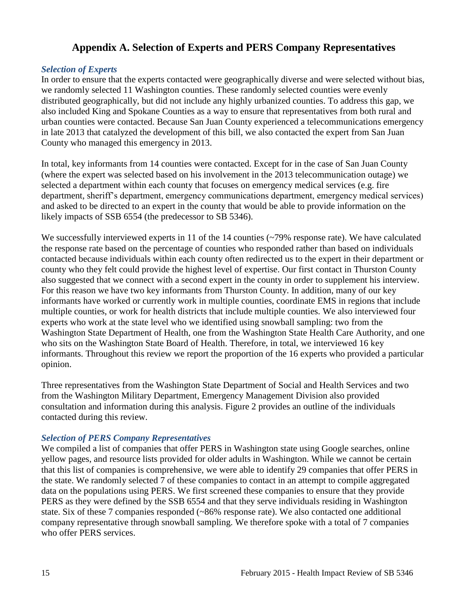# **Appendix A. Selection of Experts and PERS Company Representatives**

# <span id="page-16-0"></span>*Selection of Experts*

In order to ensure that the experts contacted were geographically diverse and were selected without bias, we randomly selected 11 Washington counties. These randomly selected counties were evenly distributed geographically, but did not include any highly urbanized counties. To address this gap, we also included King and Spokane Counties as a way to ensure that representatives from both rural and urban counties were contacted. Because San Juan County experienced a telecommunications emergency in late 2013 that catalyzed the development of this bill, we also contacted the expert from San Juan County who managed this emergency in 2013.

In total, key informants from 14 counties were contacted. Except for in the case of San Juan County (where the expert was selected based on his involvement in the 2013 telecommunication outage) we selected a department within each county that focuses on emergency medical services (e.g. fire department, sheriff's department, emergency communications department, emergency medical services) and asked to be directed to an expert in the county that would be able to provide information on the likely impacts of SSB 6554 (the predecessor to SB 5346).

We successfully interviewed experts in 11 of the 14 counties (~79% response rate). We have calculated the response rate based on the percentage of counties who responded rather than based on individuals contacted because individuals within each county often redirected us to the expert in their department or county who they felt could provide the highest level of expertise. Our first contact in Thurston County also suggested that we connect with a second expert in the county in order to supplement his interview. For this reason we have two key informants from Thurston County. In addition, many of our key informants have worked or currently work in multiple counties, coordinate EMS in regions that include multiple counties, or work for health districts that include multiple counties. We also interviewed four experts who work at the state level who we identified using snowball sampling: two from the Washington State Department of Health, one from the Washington State Health Care Authority, and one who sits on the Washington State Board of Health. Therefore, in total, we interviewed 16 key informants. Throughout this review we report the proportion of the 16 experts who provided a particular opinion.

Three representatives from the Washington State Department of Social and Health Services and two from the Washington Military Department, Emergency Management Division also provided consultation and information during this analysis. Figure 2 provides an outline of the individuals contacted during this review.

# *Selection of PERS Company Representatives*

We compiled a list of companies that offer PERS in Washington state using Google searches, online yellow pages, and resource lists provided for older adults in Washington. While we cannot be certain that this list of companies is comprehensive, we were able to identify 29 companies that offer PERS in the state. We randomly selected 7 of these companies to contact in an attempt to compile aggregated data on the populations using PERS. We first screened these companies to ensure that they provide PERS as they were defined by the SSB 6554 and that they serve individuals residing in Washington state. Six of these 7 companies responded (~86% response rate). We also contacted one additional company representative through snowball sampling. We therefore spoke with a total of 7 companies who offer PERS services.